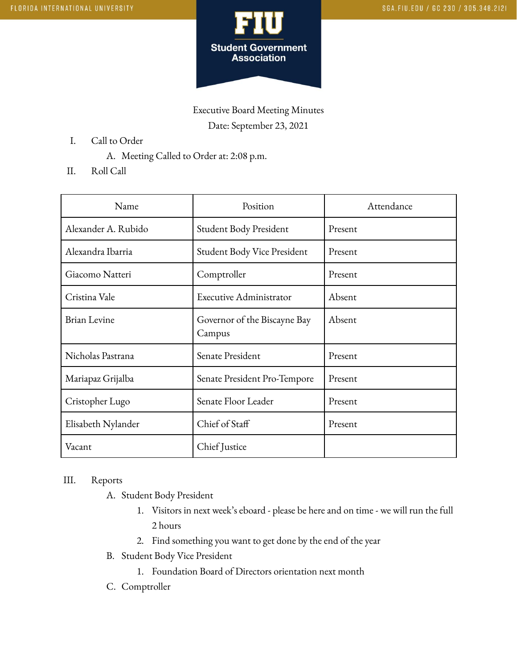

Executive Board Meeting Minutes Date: September 23, 2021

- I. Call to Order
	- A. Meeting Called to Order at: 2:08 p.m.
- II. Roll Call

| Name                | Position                               | Attendance |
|---------------------|----------------------------------------|------------|
| Alexander A. Rubido | Student Body President                 | Present    |
| Alexandra Ibarria   | Student Body Vice President            | Present    |
| Giacomo Natteri     | Comptroller                            | Present    |
| Cristina Vale       | Executive Administrator                | Absent     |
| <b>Brian Levine</b> | Governor of the Biscayne Bay<br>Campus | Absent     |
| Nicholas Pastrana   | Senate President                       | Present    |
| Mariapaz Grijalba   | Senate President Pro-Tempore           | Present    |
| Cristopher Lugo     | Senate Floor Leader                    | Present    |
| Elisabeth Nylander  | Chief of Staff                         | Present    |
| Vacant              | Chief Justice                          |            |

## III. Reports

- A. Student Body President
	- 1. Visitors in next week's eboard please be here and on time we will run the full 2 hours
	- 2. Find something you want to get done by the end of the year
- B. Student Body Vice President
	- 1. Foundation Board of Directors orientation next month
- C. Comptroller